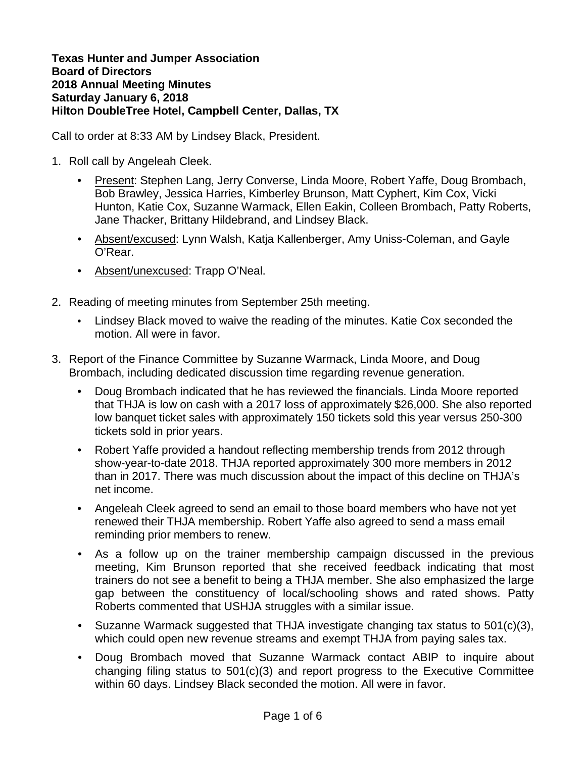## **Texas Hunter and Jumper Association Board of Directors 2018 Annual Meeting Minutes Saturday January 6, 2018 Hilton DoubleTree Hotel, Campbell Center, Dallas, TX**

Call to order at 8:33 AM by Lindsey Black, President.

- 1. Roll call by Angeleah Cleek.
	- Present: Stephen Lang, Jerry Converse, Linda Moore, Robert Yaffe, Doug Brombach, Bob Brawley, Jessica Harries, Kimberley Brunson, Matt Cyphert, Kim Cox, Vicki Hunton, Katie Cox, Suzanne Warmack, Ellen Eakin, Colleen Brombach, Patty Roberts, Jane Thacker, Brittany Hildebrand, and Lindsey Black.
	- Absent/excused: Lynn Walsh, Katja Kallenberger, Amy Uniss-Coleman, and Gayle O'Rear.
	- Absent/unexcused: Trapp O'Neal.
- 2. Reading of meeting minutes from September 25th meeting.
	- Lindsey Black moved to waive the reading of the minutes. Katie Cox seconded the motion. All were in favor.
- 3. Report of the Finance Committee by Suzanne Warmack, Linda Moore, and Doug Brombach, including dedicated discussion time regarding revenue generation.
	- Doug Brombach indicated that he has reviewed the financials. Linda Moore reported that THJA is low on cash with a 2017 loss of approximately \$26,000. She also reported low banquet ticket sales with approximately 150 tickets sold this year versus 250-300 tickets sold in prior years.
	- Robert Yaffe provided a handout reflecting membership trends from 2012 through show-year-to-date 2018. THJA reported approximately 300 more members in 2012 than in 2017. There was much discussion about the impact of this decline on THJA's net income.
	- Angeleah Cleek agreed to send an email to those board members who have not yet renewed their THJA membership. Robert Yaffe also agreed to send a mass email reminding prior members to renew.
	- As a follow up on the trainer membership campaign discussed in the previous meeting, Kim Brunson reported that she received feedback indicating that most trainers do not see a benefit to being a THJA member. She also emphasized the large gap between the constituency of local/schooling shows and rated shows. Patty Roberts commented that USHJA struggles with a similar issue.
	- Suzanne Warmack suggested that THJA investigate changing tax status to 501(c)(3), which could open new revenue streams and exempt THJA from paying sales tax.
	- Doug Brombach moved that Suzanne Warmack contact ABIP to inquire about changing filing status to 501(c)(3) and report progress to the Executive Committee within 60 days. Lindsey Black seconded the motion. All were in favor.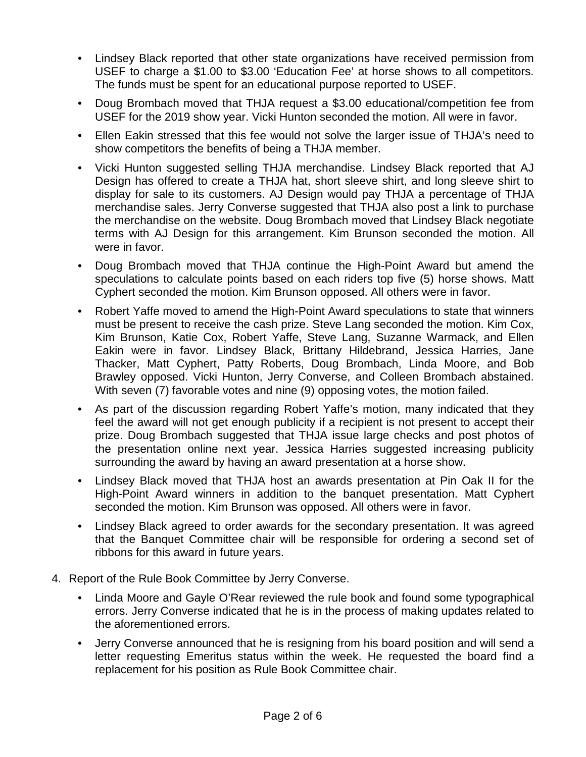- Lindsey Black reported that other state organizations have received permission from USEF to charge a \$1.00 to \$3.00 'Education Fee' at horse shows to all competitors. The funds must be spent for an educational purpose reported to USEF.
- Doug Brombach moved that THJA request a \$3.00 educational/competition fee from USEF for the 2019 show year. Vicki Hunton seconded the motion. All were in favor.
- Ellen Eakin stressed that this fee would not solve the larger issue of THJA's need to show competitors the benefits of being a THJA member.
- Vicki Hunton suggested selling THJA merchandise. Lindsey Black reported that AJ Design has offered to create a THJA hat, short sleeve shirt, and long sleeve shirt to display for sale to its customers. AJ Design would pay THJA a percentage of THJA merchandise sales. Jerry Converse suggested that THJA also post a link to purchase the merchandise on the website. Doug Brombach moved that Lindsey Black negotiate terms with AJ Design for this arrangement. Kim Brunson seconded the motion. All were in favor.
- Doug Brombach moved that THJA continue the High-Point Award but amend the speculations to calculate points based on each riders top five (5) horse shows. Matt Cyphert seconded the motion. Kim Brunson opposed. All others were in favor.
- Robert Yaffe moved to amend the High-Point Award speculations to state that winners must be present to receive the cash prize. Steve Lang seconded the motion. Kim Cox, Kim Brunson, Katie Cox, Robert Yaffe, Steve Lang, Suzanne Warmack, and Ellen Eakin were in favor. Lindsey Black, Brittany Hildebrand, Jessica Harries, Jane Thacker, Matt Cyphert, Patty Roberts, Doug Brombach, Linda Moore, and Bob Brawley opposed. Vicki Hunton, Jerry Converse, and Colleen Brombach abstained. With seven (7) favorable votes and nine (9) opposing votes, the motion failed.
- As part of the discussion regarding Robert Yaffe's motion, many indicated that they feel the award will not get enough publicity if a recipient is not present to accept their prize. Doug Brombach suggested that THJA issue large checks and post photos of the presentation online next year. Jessica Harries suggested increasing publicity surrounding the award by having an award presentation at a horse show.
- Lindsey Black moved that THJA host an awards presentation at Pin Oak II for the High-Point Award winners in addition to the banquet presentation. Matt Cyphert seconded the motion. Kim Brunson was opposed. All others were in favor.
- Lindsey Black agreed to order awards for the secondary presentation. It was agreed that the Banquet Committee chair will be responsible for ordering a second set of ribbons for this award in future years.
- 4. Report of the Rule Book Committee by Jerry Converse.
	- Linda Moore and Gayle O'Rear reviewed the rule book and found some typographical errors. Jerry Converse indicated that he is in the process of making updates related to the aforementioned errors.
	- Jerry Converse announced that he is resigning from his board position and will send a letter requesting Emeritus status within the week. He requested the board find a replacement for his position as Rule Book Committee chair.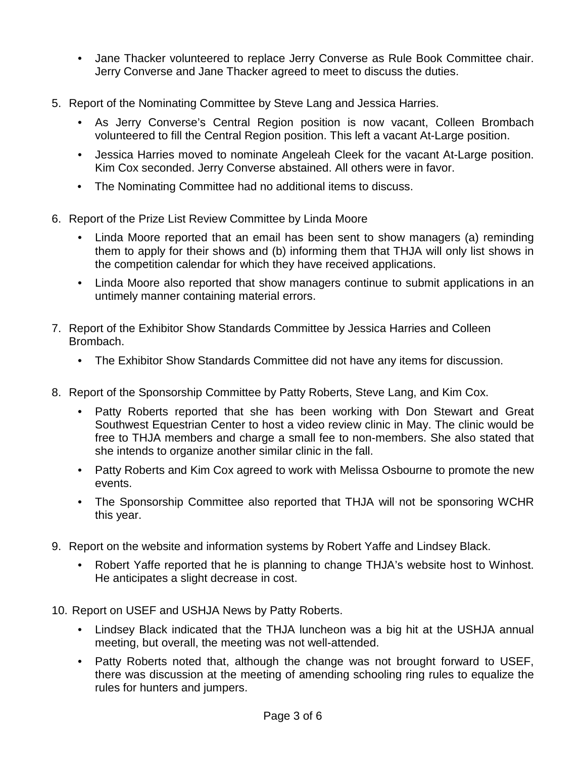- Jane Thacker volunteered to replace Jerry Converse as Rule Book Committee chair. Jerry Converse and Jane Thacker agreed to meet to discuss the duties.
- 5. Report of the Nominating Committee by Steve Lang and Jessica Harries.
	- As Jerry Converse's Central Region position is now vacant, Colleen Brombach volunteered to fill the Central Region position. This left a vacant At-Large position.
	- Jessica Harries moved to nominate Angeleah Cleek for the vacant At-Large position. Kim Cox seconded. Jerry Converse abstained. All others were in favor.
	- The Nominating Committee had no additional items to discuss.
- 6. Report of the Prize List Review Committee by Linda Moore
	- Linda Moore reported that an email has been sent to show managers (a) reminding them to apply for their shows and (b) informing them that THJA will only list shows in the competition calendar for which they have received applications.
	- Linda Moore also reported that show managers continue to submit applications in an untimely manner containing material errors.
- 7. Report of the Exhibitor Show Standards Committee by Jessica Harries and Colleen Brombach.
	- The Exhibitor Show Standards Committee did not have any items for discussion.
- 8. Report of the Sponsorship Committee by Patty Roberts, Steve Lang, and Kim Cox.
	- Patty Roberts reported that she has been working with Don Stewart and Great Southwest Equestrian Center to host a video review clinic in May. The clinic would be free to THJA members and charge a small fee to non-members. She also stated that she intends to organize another similar clinic in the fall.
	- Patty Roberts and Kim Cox agreed to work with Melissa Osbourne to promote the new events.
	- The Sponsorship Committee also reported that THJA will not be sponsoring WCHR this year.
- 9. Report on the website and information systems by Robert Yaffe and Lindsey Black.
	- Robert Yaffe reported that he is planning to change THJA's website host to Winhost. He anticipates a slight decrease in cost.
- 10. Report on USEF and USHJA News by Patty Roberts.
	- Lindsey Black indicated that the THJA luncheon was a big hit at the USHJA annual meeting, but overall, the meeting was not well-attended.
	- Patty Roberts noted that, although the change was not brought forward to USEF, there was discussion at the meeting of amending schooling ring rules to equalize the rules for hunters and jumpers.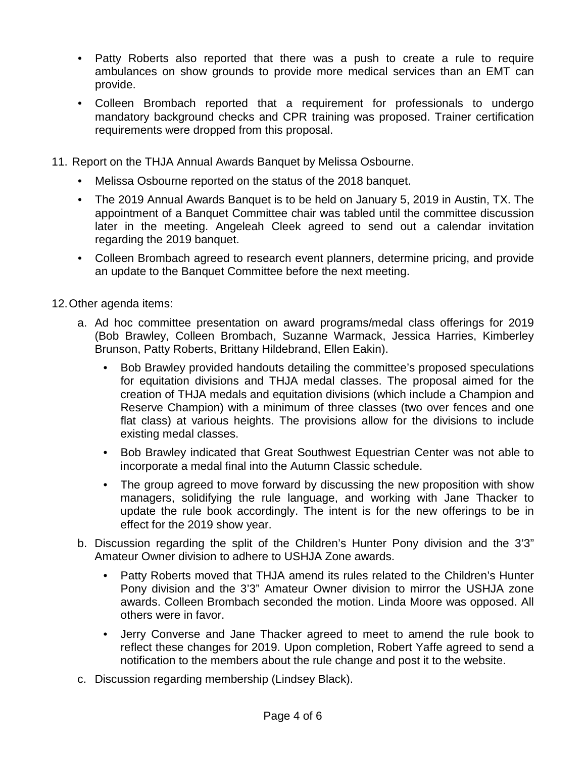- Patty Roberts also reported that there was a push to create a rule to require ambulances on show grounds to provide more medical services than an EMT can provide.
- Colleen Brombach reported that a requirement for professionals to undergo mandatory background checks and CPR training was proposed. Trainer certification requirements were dropped from this proposal.
- 11. Report on the THJA Annual Awards Banquet by Melissa Osbourne.
	- Melissa Osbourne reported on the status of the 2018 banquet.
	- The 2019 Annual Awards Banquet is to be held on January 5, 2019 in Austin, TX. The appointment of a Banquet Committee chair was tabled until the committee discussion later in the meeting. Angeleah Cleek agreed to send out a calendar invitation regarding the 2019 banquet.
	- Colleen Brombach agreed to research event planners, determine pricing, and provide an update to the Banquet Committee before the next meeting.
- 12.Other agenda items:
	- a. Ad hoc committee presentation on award programs/medal class offerings for 2019 (Bob Brawley, Colleen Brombach, Suzanne Warmack, Jessica Harries, Kimberley Brunson, Patty Roberts, Brittany Hildebrand, Ellen Eakin).
		- Bob Brawley provided handouts detailing the committee's proposed speculations for equitation divisions and THJA medal classes. The proposal aimed for the creation of THJA medals and equitation divisions (which include a Champion and Reserve Champion) with a minimum of three classes (two over fences and one flat class) at various heights. The provisions allow for the divisions to include existing medal classes.
		- Bob Brawley indicated that Great Southwest Equestrian Center was not able to incorporate a medal final into the Autumn Classic schedule.
		- The group agreed to move forward by discussing the new proposition with show managers, solidifying the rule language, and working with Jane Thacker to update the rule book accordingly. The intent is for the new offerings to be in effect for the 2019 show year.
	- b. Discussion regarding the split of the Children's Hunter Pony division and the 3'3" Amateur Owner division to adhere to USHJA Zone awards.
		- Patty Roberts moved that THJA amend its rules related to the Children's Hunter Pony division and the 3'3" Amateur Owner division to mirror the USHJA zone awards. Colleen Brombach seconded the motion. Linda Moore was opposed. All others were in favor.
		- Jerry Converse and Jane Thacker agreed to meet to amend the rule book to reflect these changes for 2019. Upon completion, Robert Yaffe agreed to send a notification to the members about the rule change and post it to the website.
	- c. Discussion regarding membership (Lindsey Black).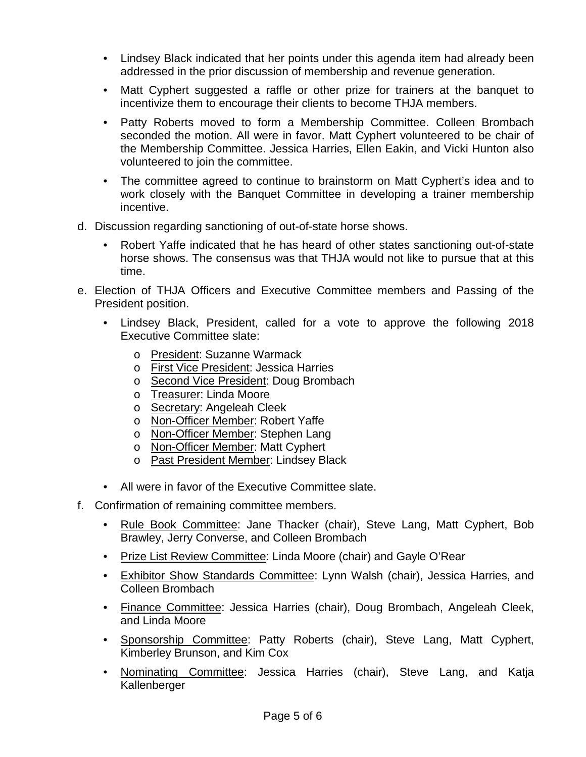- Lindsey Black indicated that her points under this agenda item had already been addressed in the prior discussion of membership and revenue generation.
- Matt Cyphert suggested a raffle or other prize for trainers at the banquet to incentivize them to encourage their clients to become THJA members.
- Patty Roberts moved to form a Membership Committee. Colleen Brombach seconded the motion. All were in favor. Matt Cyphert volunteered to be chair of the Membership Committee. Jessica Harries, Ellen Eakin, and Vicki Hunton also volunteered to join the committee.
- The committee agreed to continue to brainstorm on Matt Cyphert's idea and to work closely with the Banquet Committee in developing a trainer membership incentive.
- d. Discussion regarding sanctioning of out-of-state horse shows.
	- Robert Yaffe indicated that he has heard of other states sanctioning out-of-state horse shows. The consensus was that THJA would not like to pursue that at this time.
- e. Election of THJA Officers and Executive Committee members and Passing of the President position.
	- Lindsey Black, President, called for a vote to approve the following 2018 Executive Committee slate:
		- o President: Suzanne Warmack
		- o First Vice President: Jessica Harries
		- o Second Vice President: Doug Brombach
		- o Treasurer: Linda Moore
		- o Secretary: Angeleah Cleek
		- o Non-Officer Member: Robert Yaffe
		- o Non-Officer Member: Stephen Lang
		- o Non-Officer Member: Matt Cyphert
		- o Past President Member: Lindsey Black
	- All were in favor of the Executive Committee slate.
- f. Confirmation of remaining committee members.
	- Rule Book Committee: Jane Thacker (chair), Steve Lang, Matt Cyphert, Bob Brawley, Jerry Converse, and Colleen Brombach
	- Prize List Review Committee: Linda Moore (chair) and Gayle O'Rear
	- Exhibitor Show Standards Committee: Lynn Walsh (chair), Jessica Harries, and Colleen Brombach
	- Finance Committee: Jessica Harries (chair), Doug Brombach, Angeleah Cleek, and Linda Moore
	- Sponsorship Committee: Patty Roberts (chair), Steve Lang, Matt Cyphert, Kimberley Brunson, and Kim Cox
	- Nominating Committee: Jessica Harries (chair), Steve Lang, and Katja Kallenberger